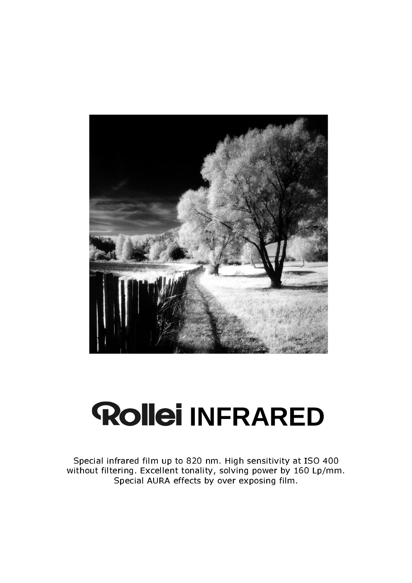

# **Rollei INFRARED**

Special infrared film up to 820 nm. High sensitivity at ISO 400 without filtering. Excellent tonality, solving power by 160 Lp/mm. Special AURA effects by over exposing film.